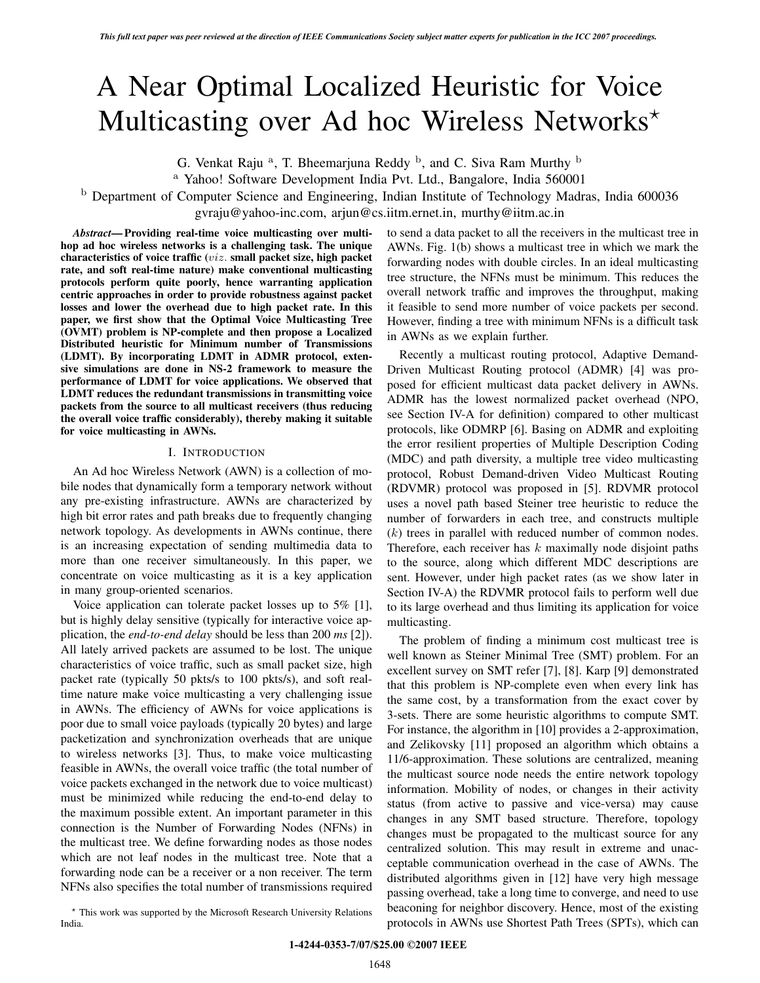# A Near Optimal Localized Heuristic for Voice Multicasting over Ad hoc Wireless Networks

G. Venkat Raju  $^{\rm a}$ , T. Bheemarjuna Reddy  $^{\rm b}$ , and C. Siva Ram Murthy  $^{\rm b}$ 

<sup>a</sup> Yahoo! Software Development India Pvt. Ltd., Bangalore, India 560001

<sup>b</sup> Department of Computer Science and Engineering, Indian Institute of Technology Madras, India 600036

gvraju@yahoo-inc.com, arjun@cs.iitm.ernet.in, murthy@iitm.ac.in

Abstract—Providing real-time voice multicasting over multi**hop ad hoc wireless networks is a challenging task. The unique characteristics of voice traffic (***viz.* **small packet size, high packet rate, and soft real-time nature) make conventional multicasting protocols perform quite poorly, hence warranting application centric approaches in order to provide robustness against packet losses and lower the overhead due to high packet rate. In this paper, we first show that the Optimal Voice Multicasting Tree (OVMT) problem is NP-complete and then propose a Localized Distributed heuristic for Minimum number of Transmissions (LDMT). By incorporating LDMT in ADMR protocol, extensive simulations are done in NS-2 framework to measure the performance of LDMT for voice applications. We observed that LDMT reduces the redundant transmissions in transmitting voice packets from the source to all multicast receivers (thus reducing the overall voice traffic considerably), thereby making it suitable for voice multicasting in AWNs.**

## I. INTRODUCTION

An Ad hoc Wireless Network (AWN) is a collection of mobile nodes that dynamically form a temporary network without any pre-existing infrastructure. AWNs are characterized by high bit error rates and path breaks due to frequently changing network topology. As developments in AWNs continue, there is an increasing expectation of sending multimedia data to more than one receiver simultaneously. In this paper, we concentrate on voice multicasting as it is a key application in many group-oriented scenarios.

Voice application can tolerate packet losses up to 5% [1], but is highly delay sensitive (typically for interactive voice application, the *end-to-end delay* should be less than 200 *ms* [2]). All lately arrived packets are assumed to be lost. The unique characteristics of voice traffic, such as small packet size, high packet rate (typically 50 pkts/s to 100 pkts/s), and soft realtime nature make voice multicasting a very challenging issue in AWNs. The efficiency of AWNs for voice applications is poor due to small voice payloads (typically 20 bytes) and large packetization and synchronization overheads that are unique to wireless networks [3]. Thus, to make voice multicasting feasible in AWNs, the overall voice traffic (the total number of voice packets exchanged in the network due to voice multicast) must be minimized while reducing the end-to-end delay to the maximum possible extent. An important parameter in this connection is the Number of Forwarding Nodes (NFNs) in the multicast tree. We define forwarding nodes as those nodes which are not leaf nodes in the multicast tree. Note that a forwarding node can be a receiver or a non receiver. The term NFNs also specifies the total number of transmissions required

to send a data packet to all the receivers in the multicast tree in AWNs. Fig. 1(b) shows a multicast tree in which we mark the forwarding nodes with double circles. In an ideal multicasting tree structure, the NFNs must be minimum. This reduces the overall network traffic and improves the throughput, making it feasible to send more number of voice packets per second. However, finding a tree with minimum NFNs is a difficult task in AWNs as we explain further.

Recently a multicast routing protocol, Adaptive Demand-Driven Multicast Routing protocol (ADMR) [4] was proposed for efficient multicast data packet delivery in AWNs. ADMR has the lowest normalized packet overhead (NPO, see Section IV-A for definition) compared to other multicast protocols, like ODMRP [6]. Basing on ADMR and exploiting the error resilient properties of Multiple Description Coding (MDC) and path diversity, a multiple tree video multicasting protocol, Robust Demand-driven Video Multicast Routing (RDVMR) protocol was proposed in [5]. RDVMR protocol uses a novel path based Steiner tree heuristic to reduce the number of forwarders in each tree, and constructs multiple  $(k)$  trees in parallel with reduced number of common nodes. Therefore, each receiver has  $k$  maximally node disjoint paths to the source, along which different MDC descriptions are sent. However, under high packet rates (as we show later in Section IV-A) the RDVMR protocol fails to perform well due to its large overhead and thus limiting its application for voice multicasting.

The problem of finding a minimum cost multicast tree is well known as Steiner Minimal Tree (SMT) problem. For an excellent survey on SMT refer [7], [8]. Karp [9] demonstrated that this problem is NP-complete even when every link has the same cost, by a transformation from the exact cover by 3-sets. There are some heuristic algorithms to compute SMT. For instance, the algorithm in [10] provides a 2-approximation, and Zelikovsky [11] proposed an algorithm which obtains a 11/6-approximation. These solutions are centralized, meaning the multicast source node needs the entire network topology information. Mobility of nodes, or changes in their activity status (from active to passive and vice-versa) may cause changes in any SMT based structure. Therefore, topology changes must be propagated to the multicast source for any centralized solution. This may result in extreme and unacceptable communication overhead in the case of AWNs. The distributed algorithms given in [12] have very high message passing overhead, take a long time to converge, and need to use beaconing for neighbor discovery. Hence, most of the existing protocols in AWNs use Shortest Path Trees (SPTs), which can

 This work was supported by the Microsoft Research University Relations India.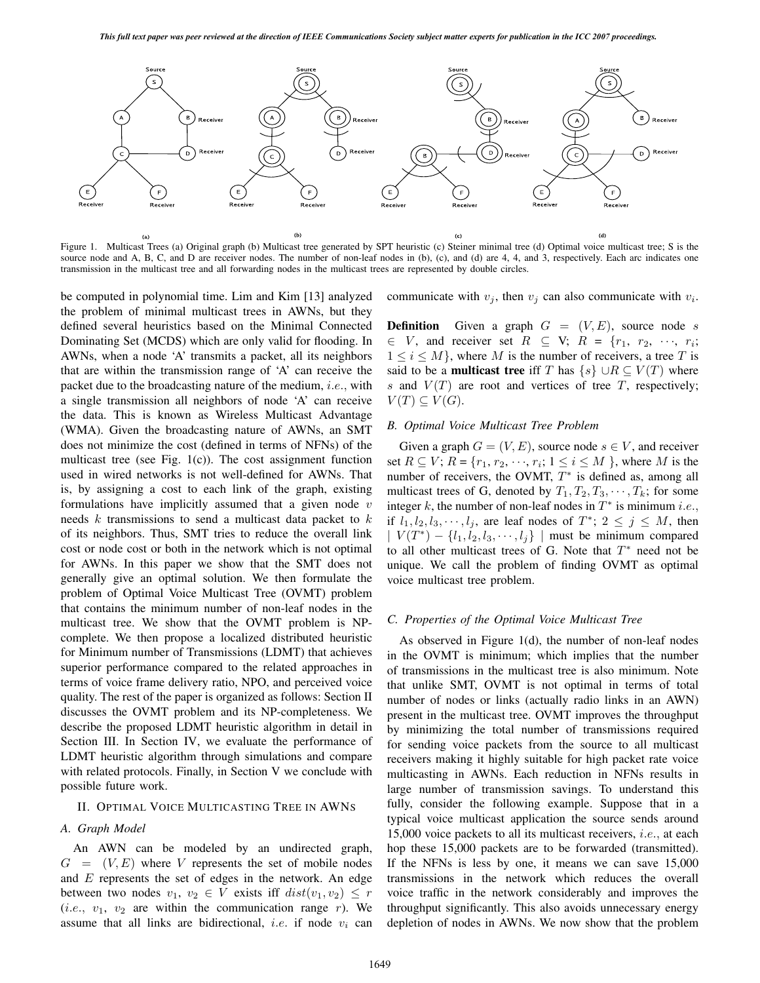

Figure 1. Multicast Trees (a) Original graph (b) Multicast tree generated by SPT heuristic (c) Steiner minimal tree (d) Optimal voice multicast tree; S is the source node and A, B, C, and D are receiver nodes. The number of non-leaf nodes in (b), (c), and (d) are 4, 4, and 3, respectively. Each arc indicates one transmission in the multicast tree and all forwarding nodes in the multicast trees are represented by double circles.

be computed in polynomial time. Lim and Kim [13] analyzed the problem of minimal multicast trees in AWNs, but they defined several heuristics based on the Minimal Connected Dominating Set (MCDS) which are only valid for flooding. In AWNs, when a node 'A' transmits a packet, all its neighbors that are within the transmission range of 'A' can receive the packet due to the broadcasting nature of the medium, *i.e.*, with a single transmission all neighbors of node 'A' can receive the data. This is known as Wireless Multicast Advantage (WMA). Given the broadcasting nature of AWNs, an SMT does not minimize the cost (defined in terms of NFNs) of the multicast tree (see Fig.  $1(c)$ ). The cost assignment function used in wired networks is not well-defined for AWNs. That is, by assigning a cost to each link of the graph, existing formulations have implicitly assumed that a given node  $v$ needs  $k$  transmissions to send a multicast data packet to  $k$ of its neighbors. Thus, SMT tries to reduce the overall link cost or node cost or both in the network which is not optimal for AWNs. In this paper we show that the SMT does not generally give an optimal solution. We then formulate the problem of Optimal Voice Multicast Tree (OVMT) problem that contains the minimum number of non-leaf nodes in the multicast tree. We show that the OVMT problem is NPcomplete. We then propose a localized distributed heuristic for Minimum number of Transmissions (LDMT) that achieves superior performance compared to the related approaches in terms of voice frame delivery ratio, NPO, and perceived voice quality. The rest of the paper is organized as follows: Section II discusses the OVMT problem and its NP-completeness. We describe the proposed LDMT heuristic algorithm in detail in Section III. In Section IV, we evaluate the performance of LDMT heuristic algorithm through simulations and compare with related protocols. Finally, in Section V we conclude with possible future work.

#### II. OPTIMAL VOICE MULTICASTING TREE IN AWNS

#### *A. Graph Model*

An AWN can be modeled by an undirected graph,  $G = (V, E)$  where V represents the set of mobile nodes and  $E$  represents the set of edges in the network. An edge between two nodes  $v_1, v_2 \in V$  exists iff  $dist(v_1, v_2) \leq r$  $(i.e., v_1, v_2$  are within the communication range r). We assume that all links are bidirectional, *i.e.* if node  $v_i$  can communicate with  $v_j$ , then  $v_j$  can also communicate with  $v_i$ .

**Definition** Given a graph  $G = (V, E)$ , source node s  $\in$  V, and receiver set  $R \subseteq V$ ;  $R = \{r_1, r_2, \dots, r_i\}$  $1 \leq i \leq M$ , where M is the number of receivers, a tree T is said to be a **multicast tree** iff T has  $\{s\} \cup R \subseteq V(T)$  where s and  $V(T)$  are root and vertices of tree T, respectively;  $V(T) \subseteq V(G)$ .

# *B. Optimal Voice Multicast Tree Problem*

Given a graph  $G = (V, E)$ , source node  $s \in V$ , and receiver set  $R \subseteq V$ ;  $R = \{r_1, r_2, \dots, r_i; 1 \le i \le M\}$ , where M is the number of receivers, the OVMT,  $T^*$  is defined as, among all multicast trees of G, denoted by  $T_1, T_2, T_3, \cdots, T_k$ ; for some integer k, the number of non-leaf nodes in  $T^*$  is minimum *i.e.*, if  $l_1, l_2, l_3, \dots, l_j$ , are leaf nodes of  $T^*$ ;  $2 \leq j \leq M$ , then  $| V(T^*) - \{l_1, l_2, l_3, \cdots, l_j\} |$  must be minimum compared to all other multicast trees of G. Note that  $T^*$  need not be unique. We call the problem of finding OVMT as optimal voice multicast tree problem.

## *C. Properties of the Optimal Voice Multicast Tree*

As observed in Figure 1(d), the number of non-leaf nodes in the OVMT is minimum; which implies that the number of transmissions in the multicast tree is also minimum. Note that unlike SMT, OVMT is not optimal in terms of total number of nodes or links (actually radio links in an AWN) present in the multicast tree. OVMT improves the throughput by minimizing the total number of transmissions required for sending voice packets from the source to all multicast receivers making it highly suitable for high packet rate voice multicasting in AWNs. Each reduction in NFNs results in large number of transmission savings. To understand this fully, consider the following example. Suppose that in a typical voice multicast application the source sends around 15,000 voice packets to all its multicast receivers, i.e., at each hop these 15,000 packets are to be forwarded (transmitted). If the NFNs is less by one, it means we can save 15,000 transmissions in the network which reduces the overall voice traffic in the network considerably and improves the throughput significantly. This also avoids unnecessary energy depletion of nodes in AWNs. We now show that the problem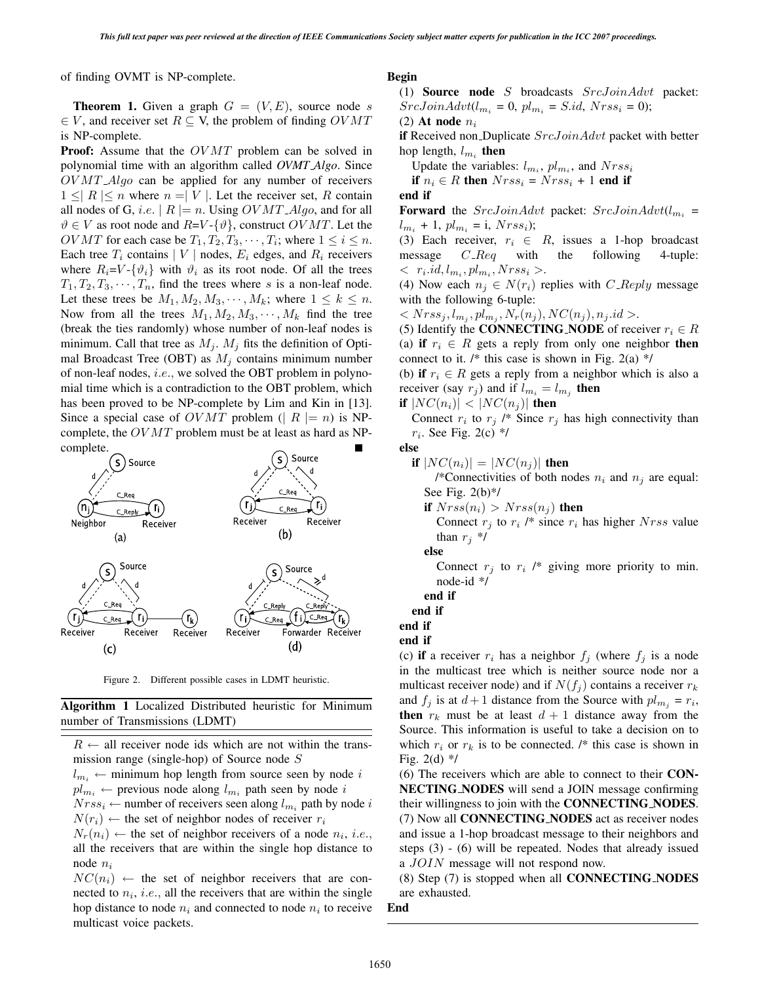of finding OVMT is NP-complete.

**Theorem 1.** Given a graph  $G = (V, E)$ , source node s  $\in V$ , and receiver set  $R \subseteq V$ , the problem of finding  $OVMT$ is NP-complete.

**Proof:** Assume that the OVMT problem can be solved in polynomial time with an algorithm called *OVMT Algo*. Since  $OVMT\_Algo$  can be applied for any number of receivers  $1 \leq R \leq n$  where  $n = |V|$ . Let the receiver set, R contain all nodes of G, *i.e.*  $\mid R \mid = n$ . Using *OVMT\_Algo*, and for all  $\vartheta \in V$  as root node and  $R=V-\{\vartheta\}$ , construct  $OVMT$ . Let the *OV MT* for each case be  $T_1, T_2, T_3, \cdots, T_i$ ; where  $1 \le i \le n$ . Each tree  $T_i$  contains  $|V|$  nodes,  $E_i$  edges, and  $R_i$  receivers where  $R_i = V - \{\vartheta_i\}$  with  $\vartheta_i$  as its root node. Of all the trees  $T_1, T_2, T_3, \cdots, T_n$ , find the trees where s is a non-leaf node. Let these trees be  $M_1, M_2, M_3, \cdots, M_k$ ; where  $1 \leq k \leq n$ . Now from all the trees  $M_1, M_2, M_3, \cdots, M_k$  find the tree (break the ties randomly) whose number of non-leaf nodes is minimum. Call that tree as  $M_i$ .  $M_j$  fits the definition of Optimal Broadcast Tree (OBT) as M*<sup>j</sup>* contains minimum number of non-leaf nodes, i.e., we solved the OBT problem in polynomial time which is a contradiction to the OBT problem, which has been proved to be NP-complete by Lim and Kin in [13]. Since a special case of *OVMT* problem ( $|R| = n$ ) is NPcomplete, the OV MT problem must be at least as hard as NPcomplete.



Figure 2. Different possible cases in LDMT heuristic.

**Algorithm 1** Localized Distributed heuristic for Minimum number of Transmissions (LDMT)

 $R \leftarrow$  all receiver node ids which are not within the transmission range (single-hop) of Source node S

 $l_{m_i}$  ← minimum hop length from source seen by node i  $pl_{m_i} \leftarrow$  previous node along  $l_{m_i}$  path seen by node i

 $Nrss_i \leftarrow$  number of receivers seen along  $l_{m_i}$  path by node i  $N(r_i) \leftarrow$  the set of neighbor nodes of receiver  $r_i$ 

 $N_r(n_i) \leftarrow$  the set of neighbor receivers of a node  $n_i$ , *i.e.*, all the receivers that are within the single hop distance to node n*<sup>i</sup>*

 $NC(n_i) \leftarrow$  the set of neighbor receivers that are connected to  $n_i$ , *i.e.*, all the receivers that are within the single hop distance to node  $n_i$  and connected to node  $n_i$  to receive multicast voice packets.

#### **Begin**

(1) **Source node** S broadcasts SrcJoinAdvt packet:  $SrcJoinAdvt(l_{m_i}=0, pl_{m_i}=S.id, Nrss_i=0);$ 

(2) **At node** n*<sup>i</sup>*

**if** Received non Duplicate  $SrcJoinAdvt$  packet with better hop length, l*m<sup>i</sup>* **then**

Update the variables:  $l_{m_i}$ ,  $pl_{m_i}$ , and  $Nrss_i$ 

**if**  $n_i \in R$  **then**  $Nrss_i = Nrss_i + 1$  **end if** 

# **end if**

**Forward** the  $SrcJoinAdvt$  packet:  $SrcJoinAdvt(l_{m_i} =$  $l_{m_i}$  + 1,  $pl_{m_i}$  = i,  $Nrss_i$ );

(3) Each receiver,  $r_i \in R$ , issues a 1-hop broadcast message  $C_{R}eq$  with the following 4-tuple:  $\langle r_i.id, l_{m_i}, pl_{m_i}, Nrss_i \rangle.$ 

(4) Now each  $n_j \in N(r_i)$  replies with C\_Reply message with the following 6-tuple:

 $\langle Nrss_j, l_{m_j}, pl_{m_j}, N_r(n_j), NC(n_j), n_j \rangle$ .id >.

(5) Identify the **CONNECTING\_NODE** of receiver  $r_i \in R$ (a) **if**  $r_i \in R$  gets a reply from only one neighbor **then** connect to it.  $/*$  this case is shown in Fig. 2(a)  $*/$ 

(b) **if**  $r_i \in R$  gets a reply from a neighbor which is also a receiver (say  $r_j$ ) and if  $l_{m_i} = l_{m_j}$  then

**if**  $|NC(n_i)| < |NC(n_i)|$  **then** 

Connect  $r_i$  to  $r_j$  /\* Since  $r_j$  has high connectivity than r*i*. See Fig. 2(c) \*/

**else**

**if**  $|NC(n_i)| = |NC(n_i)|$  **then** 

/\*Connectivities of both nodes  $n_i$  and  $n_j$  are equal: See Fig.  $2(b)*/$ 

**if**  $Nrss(n_i) > Nrss(n_i)$  **then** 

Connect  $r_j$  to  $r_i$  /\* since  $r_i$  has higher Nrss value than  $r_i$ <sup>\*</sup>/

**else**

Connect  $r_j$  to  $r_i$  /\* giving more priority to min. node-id \*/

**end if**

**end if**

# **end if**

**end if**

(c) if a receiver  $r_i$  has a neighbor  $f_j$  (where  $f_j$  is a node in the multicast tree which is neither source node nor a multicast receiver node) and if  $N(f_i)$  contains a receiver  $r_k$ and  $f_i$  is at  $d+1$  distance from the Source with  $pl_{m_i} = r_i$ , **then**  $r_k$  must be at least  $d + 1$  distance away from the Source. This information is useful to take a decision on to which  $r_i$  or  $r_k$  is to be connected. /\* this case is shown in Fig. 2(d)  $*$ /

(6) The receivers which are able to connect to their **CON-NECTING NODES** will send a JOIN message confirming their willingness to join with the **CONNECTING NODES**. (7) Now all **CONNECTING NODES** act as receiver nodes and issue a 1-hop broadcast message to their neighbors and steps (3) - (6) will be repeated. Nodes that already issued a  $JOIN$  message will not respond now.

(8) Step (7) is stopped when all **CONNECTING NODES** are exhausted.

#### **End**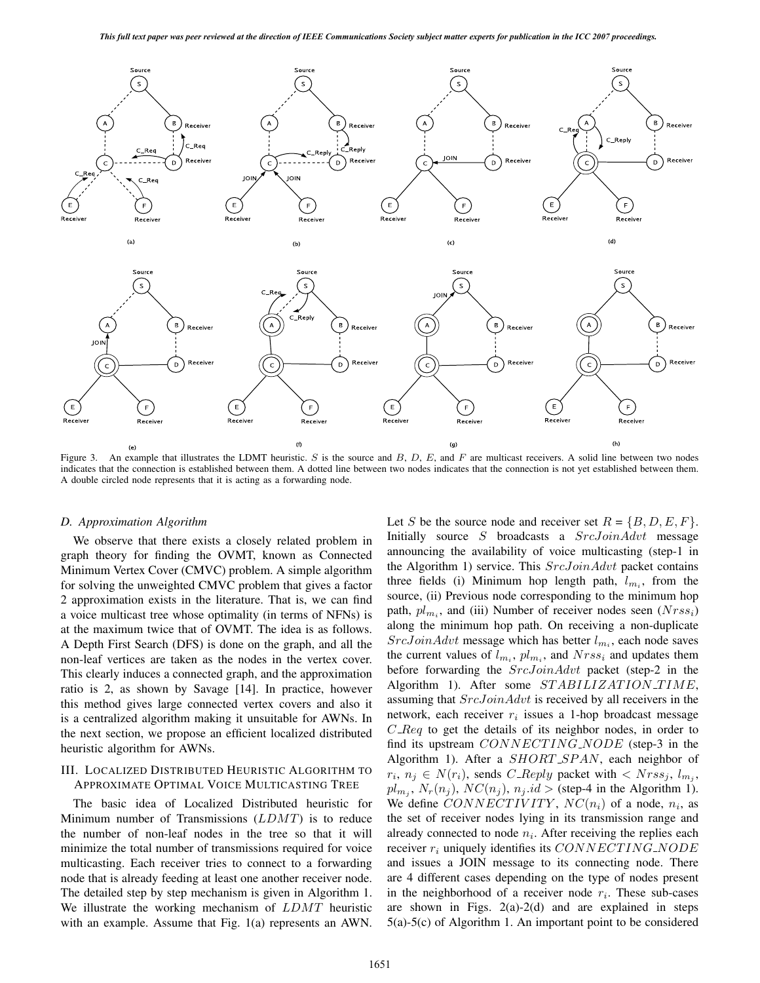

Figure 3. An example that illustrates the LDMT heuristic. *S* is the source and *B*, *D*, *E*, and *F* are multicast receivers. A solid line between two nodes indicates that the connection is established between them. A dotted line between two nodes indicates that the connection is not yet established between them. A double circled node represents that it is acting as a forwarding node.

#### *D. Approximation Algorithm*

We observe that there exists a closely related problem in graph theory for finding the OVMT, known as Connected Minimum Vertex Cover (CMVC) problem. A simple algorithm for solving the unweighted CMVC problem that gives a factor 2 approximation exists in the literature. That is, we can find a voice multicast tree whose optimality (in terms of NFNs) is at the maximum twice that of OVMT. The idea is as follows. A Depth First Search (DFS) is done on the graph, and all the non-leaf vertices are taken as the nodes in the vertex cover. This clearly induces a connected graph, and the approximation ratio is 2, as shown by Savage [14]. In practice, however this method gives large connected vertex covers and also it is a centralized algorithm making it unsuitable for AWNs. In the next section, we propose an efficient localized distributed heuristic algorithm for AWNs.

# III. LOCALIZED DISTRIBUTED HEURISTIC ALGORITHM TO APPROXIMATE OPTIMAL VOICE MULTICASTING TREE

The basic idea of Localized Distributed heuristic for Minimum number of Transmissions (LDMT) is to reduce the number of non-leaf nodes in the tree so that it will minimize the total number of transmissions required for voice multicasting. Each receiver tries to connect to a forwarding node that is already feeding at least one another receiver node. The detailed step by step mechanism is given in Algorithm 1. We illustrate the working mechanism of  $LDMT$  heuristic with an example. Assume that Fig. 1(a) represents an AWN. Let S be the source node and receiver set  $R = \{B, D, E, F\}.$ Initially source S broadcasts a SrcJoinAdvt message announcing the availability of voice multicasting (step-1 in the Algorithm 1) service. This  $SrcJoinAdvt$  packet contains three fields (i) Minimum hop length path,  $l_{m_i}$ , from the source, (ii) Previous node corresponding to the minimum hop path,  $pl_{m_i}$ , and (iii) Number of receiver nodes seen  $(Nrss_i)$ along the minimum hop path. On receiving a non-duplicate  $SrcJoinAdvt$  message which has better  $l_{m_i}$ , each node saves the current values of  $l_{m_i}$ ,  $pl_{m_i}$ , and  $Nrss_i$  and updates them before forwarding the *SrcJoinAdvt* packet (step-2 in the Algorithm 1). After some STABILIZATION\_TIME, assuming that  $SrcJoinAdvt$  is received by all receivers in the network, each receiver r*<sup>i</sup>* issues a 1-hop broadcast message  $C$ <sub>-Req</sub> to get the details of its neighbor nodes, in order to find its upstream CONNECTING\_NODE (step-3 in the Algorithm 1). After a  $SHORT\_SPAN$ , each neighbor of  $r_i$ ,  $n_j \in N(r_i)$ , sends *C\_Reply* packet with  $\langle Nrss_j, l_{m_j},$  $pl_{m_i}$ ,  $N_r(n_j)$ ,  $NC(n_j)$ ,  $n_j$ *id* > (step-4 in the Algorithm 1). We define CONNECTIVITY,  $NC(n_i)$  of a node,  $n_i$ , as the set of receiver nodes lying in its transmission range and already connected to node n*i*. After receiving the replies each receiver  $r_i$  uniquely identifies its  $CONNECTING\_NODE$ and issues a JOIN message to its connecting node. There are 4 different cases depending on the type of nodes present in the neighborhood of a receiver node r*i*. These sub-cases are shown in Figs.  $2(a)-2(d)$  and are explained in steps 5(a)-5(c) of Algorithm 1. An important point to be considered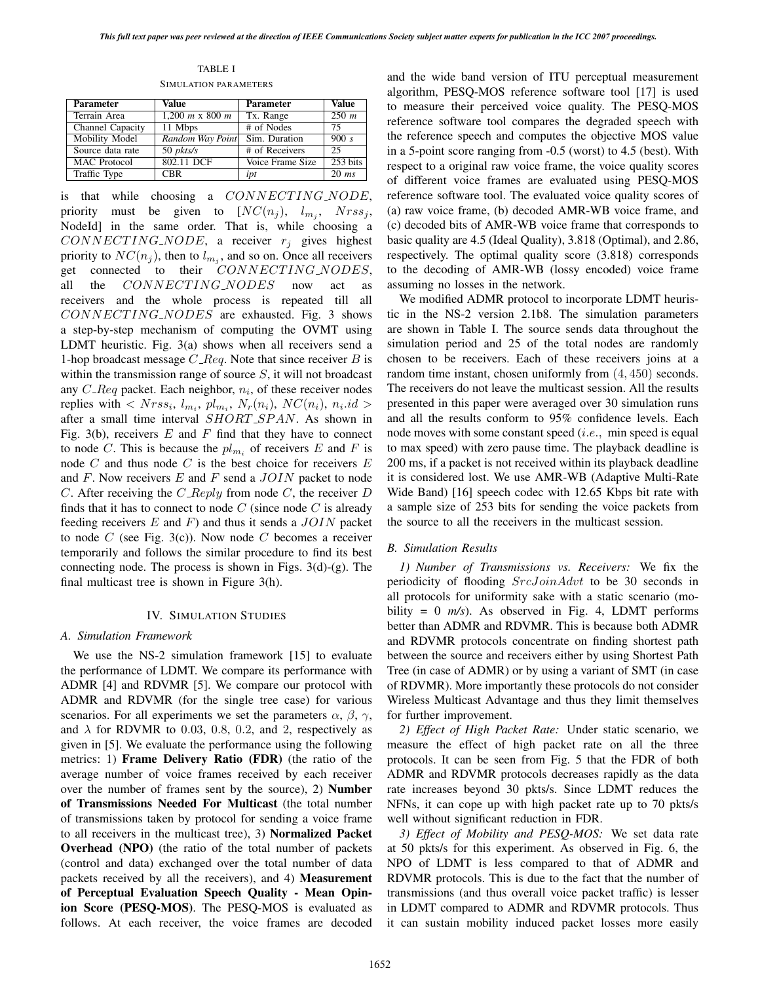| <b>Parameter</b>    | Value                               | <b>Parameter</b> | Value    |
|---------------------|-------------------------------------|------------------|----------|
| Terrain Area        | $\sqrt{1,200 \, m} \times 800 \, m$ | Tx. Range        | 250 m    |
| Channel Capacity    | 11 Mbps                             | # of Nodes       | 75       |
| Mobility Model      | Random Way Point                    | Sim. Duration    | 900 s    |
| Source data rate    | $50 \,$ pkts/s                      | # of Receivers   | 25       |
| <b>MAC</b> Protocol | 802.11 DCF                          | Voice Frame Size | 253 bits |
| Traffic Type        | <b>CBR</b>                          | ipt              | $20$ ms  |

TABLE I SIMULATION PARAMETERS

is that while choosing a  $CONNECTING-NODE$ , priority must be given to  $[NC(n_j), l_{m_j}, Nrss_j,$ NodeId] in the same order. That is, while choosing a  $CONNECTING\_NODE$ , a receiver  $r_i$  gives highest priority to  $NC(n_j)$ , then to  $l_{m_j}$ , and so on. Once all receivers get connected to their CONNECTING\_NODES, all the CONNECTING\_NODES now act as receivers and the whole process is repeated till all CONNECTING\_NODES are exhausted. Fig. 3 shows a step-by-step mechanism of computing the OVMT using LDMT heuristic. Fig. 3(a) shows when all receivers send a 1-hop broadcast message  $C_R \neq Reg$ . Note that since receiver B is within the transmission range of source  $S$ , it will not broadcast any  $C_{\mathcal{A}}$  Req packet. Each neighbor,  $n_i$ , of these receiver nodes replies with  $\langle Nrss_i, l_{m_i}, pl_{m_i}, N_r(n_i), NC(n_i), n_i.id \rangle$ after a small time interval SHORT SPAN. As shown in Fig. 3(b), receivers  $E$  and  $F$  find that they have to connect to node C. This is because the  $pl_{m_i}$  of receivers E and F is node  $C$  and thus node  $C$  is the best choice for receivers  $E$ and  $F$ . Now receivers  $E$  and  $F$  send a  $JOIN$  packet to node C. After receiving the  $C_Reply$  from node C, the receiver D finds that it has to connect to node  $C$  (since node  $C$  is already feeding receivers  $E$  and  $F$ ) and thus it sends a  $JOIN$  packet to node  $C$  (see Fig. 3(c)). Now node  $C$  becomes a receiver temporarily and follows the similar procedure to find its best connecting node. The process is shown in Figs. 3(d)-(g). The final multicast tree is shown in Figure 3(h).

#### IV. SIMULATION STUDIES

#### *A. Simulation Framework*

We use the NS-2 simulation framework [15] to evaluate the performance of LDMT. We compare its performance with ADMR [4] and RDVMR [5]. We compare our protocol with ADMR and RDVMR (for the single tree case) for various scenarios. For all experiments we set the parameters  $\alpha$ ,  $\beta$ ,  $\gamma$ , and  $\lambda$  for RDVMR to 0.03, 0.8, 0.2, and 2, respectively as given in [5]. We evaluate the performance using the following metrics: 1) **Frame Delivery Ratio (FDR)** (the ratio of the average number of voice frames received by each receiver over the number of frames sent by the source), 2) **Number of Transmissions Needed For Multicast** (the total number of transmissions taken by protocol for sending a voice frame to all receivers in the multicast tree), 3) **Normalized Packet Overhead (NPO)** (the ratio of the total number of packets (control and data) exchanged over the total number of data packets received by all the receivers), and 4) **Measurement of Perceptual Evaluation Speech Quality - Mean Opinion Score (PESQ-MOS)**. The PESQ-MOS is evaluated as follows. At each receiver, the voice frames are decoded and the wide band version of ITU perceptual measurement algorithm, PESQ-MOS reference software tool [17] is used to measure their perceived voice quality. The PESQ-MOS reference software tool compares the degraded speech with the reference speech and computes the objective MOS value in a 5-point score ranging from -0.5 (worst) to 4.5 (best). With respect to a original raw voice frame, the voice quality scores of different voice frames are evaluated using PESQ-MOS reference software tool. The evaluated voice quality scores of (a) raw voice frame, (b) decoded AMR-WB voice frame, and (c) decoded bits of AMR-WB voice frame that corresponds to basic quality are 4.5 (Ideal Quality), 3.818 (Optimal), and 2.86, respectively. The optimal quality score (3.818) corresponds to the decoding of AMR-WB (lossy encoded) voice frame assuming no losses in the network.

We modified ADMR protocol to incorporate LDMT heuristic in the NS-2 version 2.1b8. The simulation parameters are shown in Table I. The source sends data throughout the simulation period and 25 of the total nodes are randomly chosen to be receivers. Each of these receivers joins at a random time instant, chosen uniformly from (4, 450) seconds. The receivers do not leave the multicast session. All the results presented in this paper were averaged over 30 simulation runs and all the results conform to 95% confidence levels. Each node moves with some constant speed (*i.e.*, min speed is equal to max speed) with zero pause time. The playback deadline is 200 ms, if a packet is not received within its playback deadline it is considered lost. We use AMR-WB (Adaptive Multi-Rate Wide Band) [16] speech codec with 12.65 Kbps bit rate with a sample size of 253 bits for sending the voice packets from the source to all the receivers in the multicast session.

#### *B. Simulation Results*

*1) Number of Transmissions vs. Receivers:* We fix the periodicity of flooding SrcJoinAdvt to be 30 seconds in all protocols for uniformity sake with a static scenario (mobility = 0 *m/s*). As observed in Fig. 4, LDMT performs better than ADMR and RDVMR. This is because both ADMR and RDVMR protocols concentrate on finding shortest path between the source and receivers either by using Shortest Path Tree (in case of ADMR) or by using a variant of SMT (in case of RDVMR). More importantly these protocols do not consider Wireless Multicast Advantage and thus they limit themselves for further improvement.

*2) Effect of High Packet Rate:* Under static scenario, we measure the effect of high packet rate on all the three protocols. It can be seen from Fig. 5 that the FDR of both ADMR and RDVMR protocols decreases rapidly as the data rate increases beyond 30 pkts/s. Since LDMT reduces the NFNs, it can cope up with high packet rate up to 70 pkts/s well without significant reduction in FDR.

*3) Effect of Mobility and PESQ-MOS:* We set data rate at 50 pkts/s for this experiment. As observed in Fig. 6, the NPO of LDMT is less compared to that of ADMR and RDVMR protocols. This is due to the fact that the number of transmissions (and thus overall voice packet traffic) is lesser in LDMT compared to ADMR and RDVMR protocols. Thus it can sustain mobility induced packet losses more easily